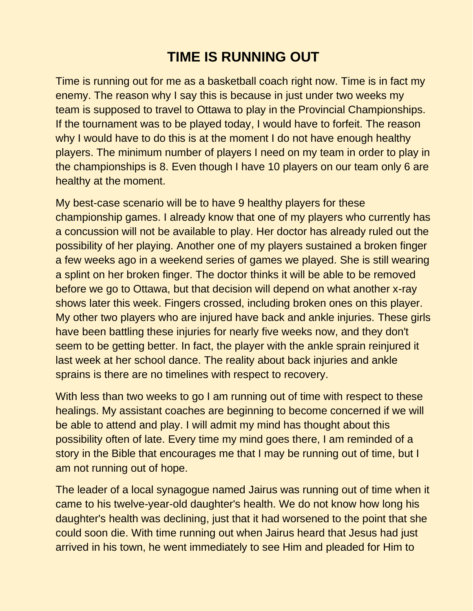## **TIME IS RUNNING OUT**

Time is running out for me as a basketball coach right now. Time is in fact my enemy. The reason why I say this is because in just under two weeks my team is supposed to travel to Ottawa to play in the Provincial Championships. If the tournament was to be played today, I would have to forfeit. The reason why I would have to do this is at the moment I do not have enough healthy players. The minimum number of players I need on my team in order to play in the championships is 8. Even though I have 10 players on our team only 6 are healthy at the moment.

My best-case scenario will be to have 9 healthy players for these championship games. I already know that one of my players who currently has a concussion will not be available to play. Her doctor has already ruled out the possibility of her playing. Another one of my players sustained a broken finger a few weeks ago in a weekend series of games we played. She is still wearing a splint on her broken finger. The doctor thinks it will be able to be removed before we go to Ottawa, but that decision will depend on what another x-ray shows later this week. Fingers crossed, including broken ones on this player. My other two players who are injured have back and ankle injuries. These girls have been battling these injuries for nearly five weeks now, and they don't seem to be getting better. In fact, the player with the ankle sprain reinjured it last week at her school dance. The reality about back injuries and ankle sprains is there are no timelines with respect to recovery.

With less than two weeks to go I am running out of time with respect to these healings. My assistant coaches are beginning to become concerned if we will be able to attend and play. I will admit my mind has thought about this possibility often of late. Every time my mind goes there, I am reminded of a story in the Bible that encourages me that I may be running out of time, but I am not running out of hope.

The leader of a local synagogue named Jairus was running out of time when it came to his twelve-year-old daughter's health. We do not know how long his daughter's health was declining, just that it had worsened to the point that she could soon die. With time running out when Jairus heard that Jesus had just arrived in his town, he went immediately to see Him and pleaded for Him to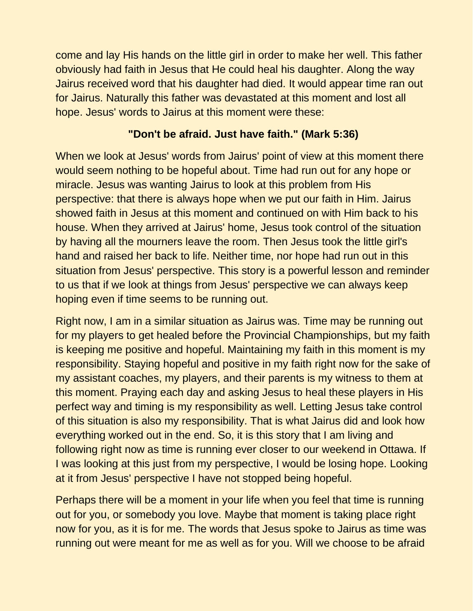come and lay His hands on the little girl in order to make her well. This father obviously had faith in Jesus that He could heal his daughter. Along the way Jairus received word that his daughter had died. It would appear time ran out for Jairus. Naturally this father was devastated at this moment and lost all hope. Jesus' words to Jairus at this moment were these:

## **"Don't be afraid. Just have faith." (Mark 5:36)**

When we look at Jesus' words from Jairus' point of view at this moment there would seem nothing to be hopeful about. Time had run out for any hope or miracle. Jesus was wanting Jairus to look at this problem from His perspective: that there is always hope when we put our faith in Him. Jairus showed faith in Jesus at this moment and continued on with Him back to his house. When they arrived at Jairus' home, Jesus took control of the situation by having all the mourners leave the room. Then Jesus took the little girl's hand and raised her back to life. Neither time, nor hope had run out in this situation from Jesus' perspective. This story is a powerful lesson and reminder to us that if we look at things from Jesus' perspective we can always keep hoping even if time seems to be running out.

Right now, I am in a similar situation as Jairus was. Time may be running out for my players to get healed before the Provincial Championships, but my faith is keeping me positive and hopeful. Maintaining my faith in this moment is my responsibility. Staying hopeful and positive in my faith right now for the sake of my assistant coaches, my players, and their parents is my witness to them at this moment. Praying each day and asking Jesus to heal these players in His perfect way and timing is my responsibility as well. Letting Jesus take control of this situation is also my responsibility. That is what Jairus did and look how everything worked out in the end. So, it is this story that I am living and following right now as time is running ever closer to our weekend in Ottawa. If I was looking at this just from my perspective, I would be losing hope. Looking at it from Jesus' perspective I have not stopped being hopeful.

Perhaps there will be a moment in your life when you feel that time is running out for you, or somebody you love. Maybe that moment is taking place right now for you, as it is for me. The words that Jesus spoke to Jairus as time was running out were meant for me as well as for you. Will we choose to be afraid